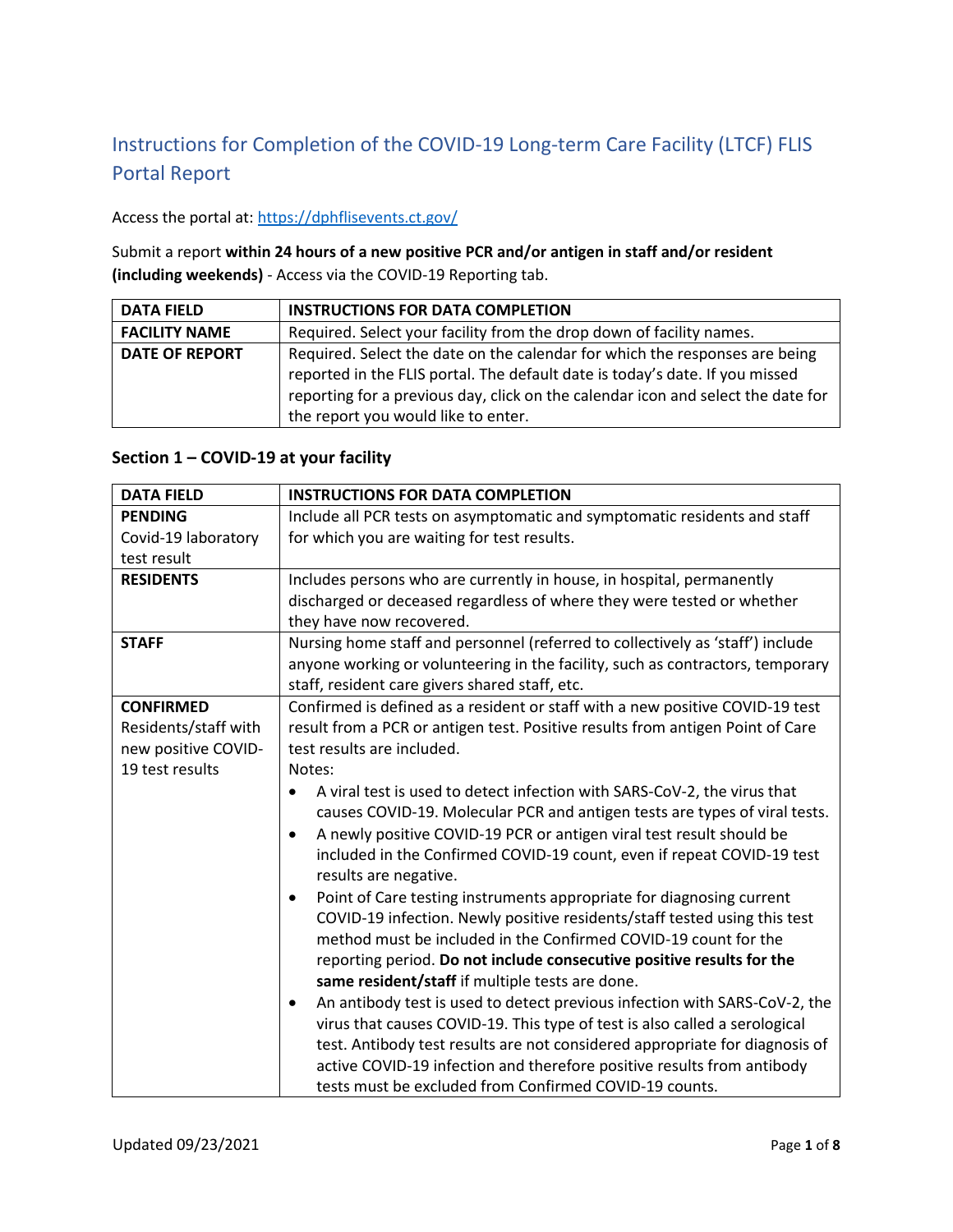# Instructions for Completion of the COVID-19 Long-term Care Facility (LTCF) FLIS Portal Report

#### Access the portal at[: https://dphflisevents.ct.gov/](https://dphflisevents.ct.gov/)

Submit a report **within 24 hours of a new positive PCR and/or antigen in staff and/or resident (including weekends)** - Access via the COVID-19 Reporting tab.

| <b>DATA FIELD</b>     | <b>INSTRUCTIONS FOR DATA COMPLETION</b>                                                                                                                                                                                                                                                |
|-----------------------|----------------------------------------------------------------------------------------------------------------------------------------------------------------------------------------------------------------------------------------------------------------------------------------|
| <b>FACILITY NAME</b>  | Required. Select your facility from the drop down of facility names.                                                                                                                                                                                                                   |
| <b>DATE OF REPORT</b> | Required. Select the date on the calendar for which the responses are being<br>reported in the FLIS portal. The default date is today's date. If you missed<br>reporting for a previous day, click on the calendar icon and select the date for<br>the report you would like to enter. |

#### **Section 1 – COVID-19 at your facility**

| <b>DATA FIELD</b>    | <b>INSTRUCTIONS FOR DATA COMPLETION</b>                                                         |
|----------------------|-------------------------------------------------------------------------------------------------|
| <b>PENDING</b>       | Include all PCR tests on asymptomatic and symptomatic residents and staff                       |
| Covid-19 laboratory  | for which you are waiting for test results.                                                     |
| test result          |                                                                                                 |
| <b>RESIDENTS</b>     | Includes persons who are currently in house, in hospital, permanently                           |
|                      | discharged or deceased regardless of where they were tested or whether                          |
|                      | they have now recovered.                                                                        |
| <b>STAFF</b>         | Nursing home staff and personnel (referred to collectively as 'staff') include                  |
|                      | anyone working or volunteering in the facility, such as contractors, temporary                  |
|                      | staff, resident care givers shared staff, etc.                                                  |
| <b>CONFIRMED</b>     | Confirmed is defined as a resident or staff with a new positive COVID-19 test                   |
| Residents/staff with | result from a PCR or antigen test. Positive results from antigen Point of Care                  |
| new positive COVID-  | test results are included.                                                                      |
| 19 test results      | Notes:                                                                                          |
|                      | A viral test is used to detect infection with SARS-CoV-2, the virus that                        |
|                      | causes COVID-19. Molecular PCR and antigen tests are types of viral tests.                      |
|                      | A newly positive COVID-19 PCR or antigen viral test result should be<br>$\bullet$               |
|                      | included in the Confirmed COVID-19 count, even if repeat COVID-19 test<br>results are negative. |
|                      | Point of Care testing instruments appropriate for diagnosing current<br>$\bullet$               |
|                      | COVID-19 infection. Newly positive residents/staff tested using this test                       |
|                      | method must be included in the Confirmed COVID-19 count for the                                 |
|                      | reporting period. Do not include consecutive positive results for the                           |
|                      | same resident/staff if multiple tests are done.                                                 |
|                      | An antibody test is used to detect previous infection with SARS-CoV-2, the<br>$\bullet$         |
|                      | virus that causes COVID-19. This type of test is also called a serological                      |
|                      | test. Antibody test results are not considered appropriate for diagnosis of                     |
|                      | active COVID-19 infection and therefore positive results from antibody                          |
|                      | tests must be excluded from Confirmed COVID-19 counts.                                          |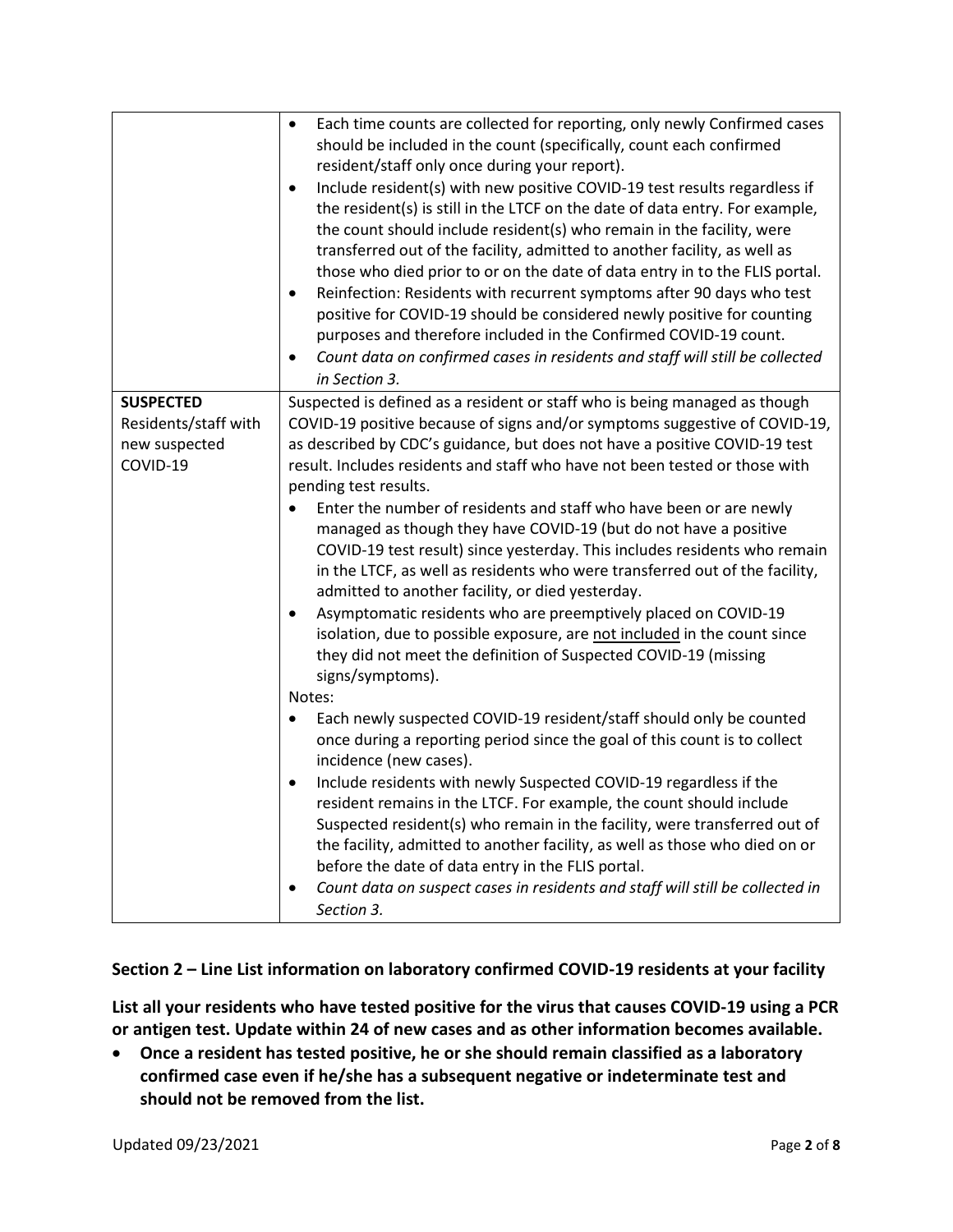|                                                                       | Each time counts are collected for reporting, only newly Confirmed cases<br>$\bullet$<br>should be included in the count (specifically, count each confirmed<br>resident/staff only once during your report).<br>Include resident(s) with new positive COVID-19 test results regardless if<br>$\bullet$<br>the resident(s) is still in the LTCF on the date of data entry. For example,<br>the count should include resident(s) who remain in the facility, were<br>transferred out of the facility, admitted to another facility, as well as<br>those who died prior to or on the date of data entry in to the FLIS portal.<br>Reinfection: Residents with recurrent symptoms after 90 days who test<br>$\bullet$<br>positive for COVID-19 should be considered newly positive for counting<br>purposes and therefore included in the Confirmed COVID-19 count.<br>Count data on confirmed cases in residents and staff will still be collected<br>$\bullet$<br>in Section 3.    |
|-----------------------------------------------------------------------|-----------------------------------------------------------------------------------------------------------------------------------------------------------------------------------------------------------------------------------------------------------------------------------------------------------------------------------------------------------------------------------------------------------------------------------------------------------------------------------------------------------------------------------------------------------------------------------------------------------------------------------------------------------------------------------------------------------------------------------------------------------------------------------------------------------------------------------------------------------------------------------------------------------------------------------------------------------------------------------|
| <b>SUSPECTED</b><br>Residents/staff with<br>new suspected<br>COVID-19 | Suspected is defined as a resident or staff who is being managed as though<br>COVID-19 positive because of signs and/or symptoms suggestive of COVID-19,<br>as described by CDC's guidance, but does not have a positive COVID-19 test<br>result. Includes residents and staff who have not been tested or those with<br>pending test results.<br>Enter the number of residents and staff who have been or are newly<br>$\bullet$<br>managed as though they have COVID-19 (but do not have a positive<br>COVID-19 test result) since yesterday. This includes residents who remain<br>in the LTCF, as well as residents who were transferred out of the facility,<br>admitted to another facility, or died yesterday.<br>Asymptomatic residents who are preemptively placed on COVID-19<br>$\bullet$<br>isolation, due to possible exposure, are not included in the count since<br>they did not meet the definition of Suspected COVID-19 (missing<br>signs/symptoms).<br>Notes: |
|                                                                       | Each newly suspected COVID-19 resident/staff should only be counted<br>$\bullet$<br>once during a reporting period since the goal of this count is to collect<br>incidence (new cases).<br>Include residents with newly Suspected COVID-19 regardless if the<br>$\bullet$<br>resident remains in the LTCF. For example, the count should include<br>Suspected resident(s) who remain in the facility, were transferred out of<br>the facility, admitted to another facility, as well as those who died on or<br>before the date of data entry in the FLIS portal.<br>Count data on suspect cases in residents and staff will still be collected in<br>$\bullet$<br>Section 3.                                                                                                                                                                                                                                                                                                     |

### **Section 2 – Line List information on laboratory confirmed COVID-19 residents at your facility**

**List all your residents who have tested positive for the virus that causes COVID-19 using a PCR or antigen test. Update within 24 of new cases and as other information becomes available.**

 **Once a resident has tested positive, he or she should remain classified as a laboratory confirmed case even if he/she has a subsequent negative or indeterminate test and should not be removed from the list.**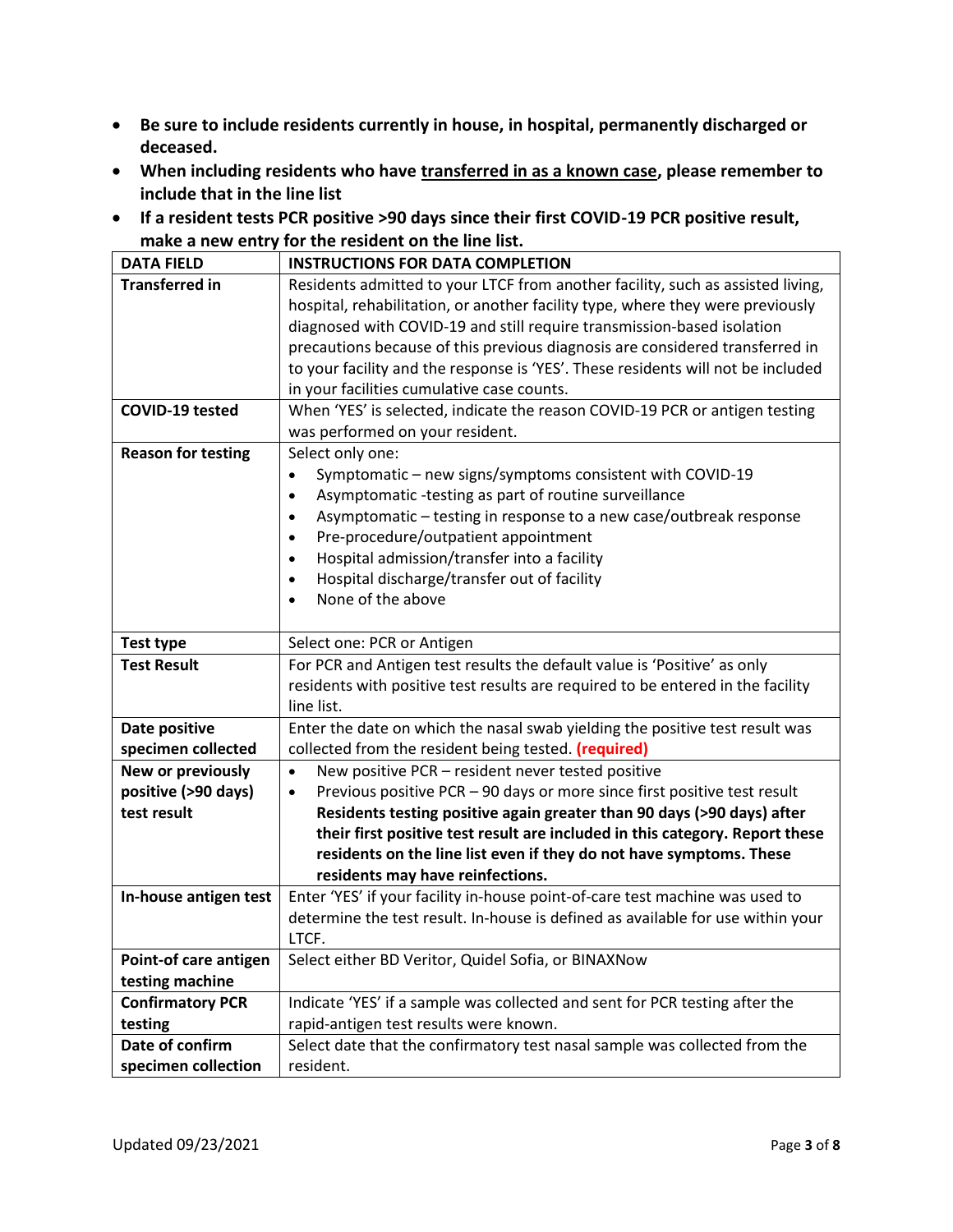- **Be sure to include residents currently in house, in hospital, permanently discharged or deceased.**
- **When including residents who have transferred in as a known case, please remember to include that in the line list**
- **If a resident tests PCR positive >90 days since their first COVID-19 PCR positive result, make a new entry for the resident on the line list.**

| <b>DATA FIELD</b>         | <b>INSTRUCTIONS FOR DATA COMPLETION</b>                                               |
|---------------------------|---------------------------------------------------------------------------------------|
| <b>Transferred in</b>     | Residents admitted to your LTCF from another facility, such as assisted living,       |
|                           | hospital, rehabilitation, or another facility type, where they were previously        |
|                           | diagnosed with COVID-19 and still require transmission-based isolation                |
|                           | precautions because of this previous diagnosis are considered transferred in          |
|                           | to your facility and the response is 'YES'. These residents will not be included      |
|                           | in your facilities cumulative case counts.                                            |
| COVID-19 tested           | When 'YES' is selected, indicate the reason COVID-19 PCR or antigen testing           |
|                           | was performed on your resident.                                                       |
| <b>Reason for testing</b> | Select only one:                                                                      |
|                           | Symptomatic - new signs/symptoms consistent with COVID-19<br>$\bullet$                |
|                           | Asymptomatic -testing as part of routine surveillance<br>$\bullet$                    |
|                           | Asymptomatic - testing in response to a new case/outbreak response<br>$\bullet$       |
|                           | Pre-procedure/outpatient appointment<br>$\bullet$                                     |
|                           | Hospital admission/transfer into a facility<br>$\bullet$                              |
|                           | Hospital discharge/transfer out of facility<br>$\bullet$                              |
|                           | None of the above<br>$\bullet$                                                        |
|                           |                                                                                       |
| <b>Test type</b>          | Select one: PCR or Antigen                                                            |
| <b>Test Result</b>        | For PCR and Antigen test results the default value is 'Positive' as only              |
|                           | residents with positive test results are required to be entered in the facility       |
|                           | line list.                                                                            |
| Date positive             | Enter the date on which the nasal swab yielding the positive test result was          |
| specimen collected        | collected from the resident being tested. (required)                                  |
| New or previously         | New positive PCR - resident never tested positive<br>$\bullet$                        |
| positive (>90 days)       | Previous positive PCR - 90 days or more since first positive test result<br>$\bullet$ |
| test result               | Residents testing positive again greater than 90 days (>90 days) after                |
|                           | their first positive test result are included in this category. Report these          |
|                           | residents on the line list even if they do not have symptoms. These                   |
|                           | residents may have reinfections.                                                      |
| In-house antigen test     | Enter 'YES' if your facility in-house point-of-care test machine was used to          |
|                           | determine the test result. In-house is defined as available for use within your       |
|                           | LTCF.                                                                                 |
| Point-of care antigen     | Select either BD Veritor, Quidel Sofia, or BINAXNow                                   |
| testing machine           |                                                                                       |
| <b>Confirmatory PCR</b>   | Indicate 'YES' if a sample was collected and sent for PCR testing after the           |
| testing                   | rapid-antigen test results were known.                                                |
| Date of confirm           | Select date that the confirmatory test nasal sample was collected from the            |
| specimen collection       | resident.                                                                             |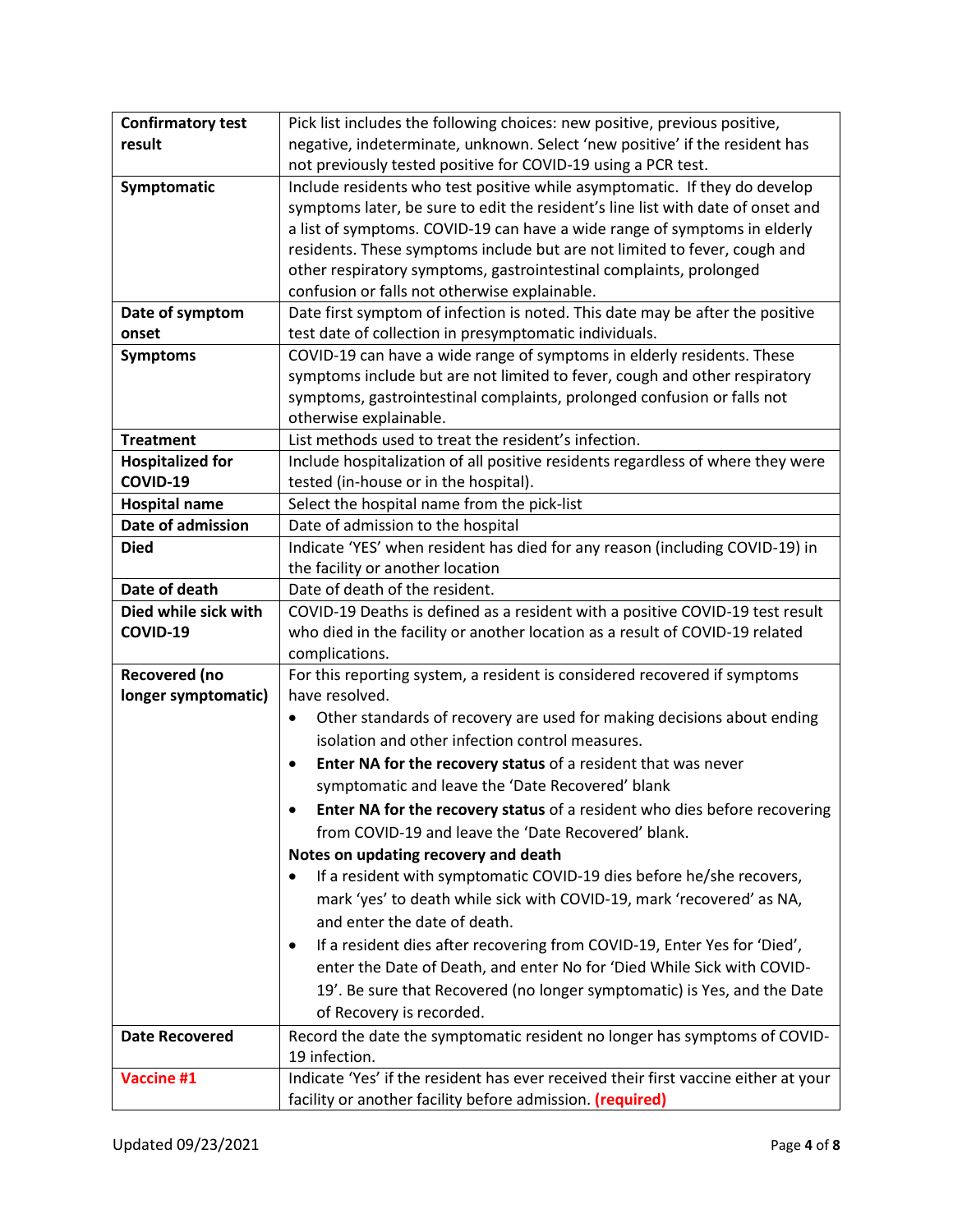| <b>Confirmatory test</b> | Pick list includes the following choices: new positive, previous positive,            |
|--------------------------|---------------------------------------------------------------------------------------|
| result                   | negative, indeterminate, unknown. Select 'new positive' if the resident has           |
|                          | not previously tested positive for COVID-19 using a PCR test.                         |
| Symptomatic              | Include residents who test positive while asymptomatic. If they do develop            |
|                          | symptoms later, be sure to edit the resident's line list with date of onset and       |
|                          | a list of symptoms. COVID-19 can have a wide range of symptoms in elderly             |
|                          | residents. These symptoms include but are not limited to fever, cough and             |
|                          | other respiratory symptoms, gastrointestinal complaints, prolonged                    |
|                          | confusion or falls not otherwise explainable.                                         |
| Date of symptom          | Date first symptom of infection is noted. This date may be after the positive         |
| onset                    | test date of collection in presymptomatic individuals.                                |
| <b>Symptoms</b>          | COVID-19 can have a wide range of symptoms in elderly residents. These                |
|                          | symptoms include but are not limited to fever, cough and other respiratory            |
|                          | symptoms, gastrointestinal complaints, prolonged confusion or falls not               |
|                          | otherwise explainable.                                                                |
| <b>Treatment</b>         | List methods used to treat the resident's infection.                                  |
| <b>Hospitalized for</b>  | Include hospitalization of all positive residents regardless of where they were       |
| COVID-19                 | tested (in-house or in the hospital).                                                 |
| <b>Hospital name</b>     | Select the hospital name from the pick-list                                           |
| Date of admission        | Date of admission to the hospital                                                     |
| <b>Died</b>              | Indicate 'YES' when resident has died for any reason (including COVID-19) in          |
|                          | the facility or another location                                                      |
| Date of death            | Date of death of the resident.                                                        |
| Died while sick with     | COVID-19 Deaths is defined as a resident with a positive COVID-19 test result         |
| COVID-19                 | who died in the facility or another location as a result of COVID-19 related          |
|                          | complications.                                                                        |
| Recovered (no            | For this reporting system, a resident is considered recovered if symptoms             |
| longer symptomatic)      | have resolved.                                                                        |
|                          | Other standards of recovery are used for making decisions about ending<br>$\bullet$   |
|                          | isolation and other infection control measures.                                       |
|                          | Enter NA for the recovery status of a resident that was never<br>$\bullet$            |
|                          | symptomatic and leave the 'Date Recovered' blank                                      |
|                          | Enter NA for the recovery status of a resident who dies before recovering             |
|                          | from COVID-19 and leave the 'Date Recovered' blank.                                   |
|                          | Notes on updating recovery and death                                                  |
|                          | If a resident with symptomatic COVID-19 dies before he/she recovers,<br>$\bullet$     |
|                          | mark 'yes' to death while sick with COVID-19, mark 'recovered' as NA,                 |
|                          | and enter the date of death.                                                          |
|                          | If a resident dies after recovering from COVID-19, Enter Yes for 'Died',<br>$\bullet$ |
|                          | enter the Date of Death, and enter No for 'Died While Sick with COVID-                |
|                          | 19'. Be sure that Recovered (no longer symptomatic) is Yes, and the Date              |
|                          | of Recovery is recorded.                                                              |
| <b>Date Recovered</b>    | Record the date the symptomatic resident no longer has symptoms of COVID-             |
|                          | 19 infection.                                                                         |
| Vaccine #1               | Indicate 'Yes' if the resident has ever received their first vaccine either at your   |
|                          | facility or another facility before admission. (required)                             |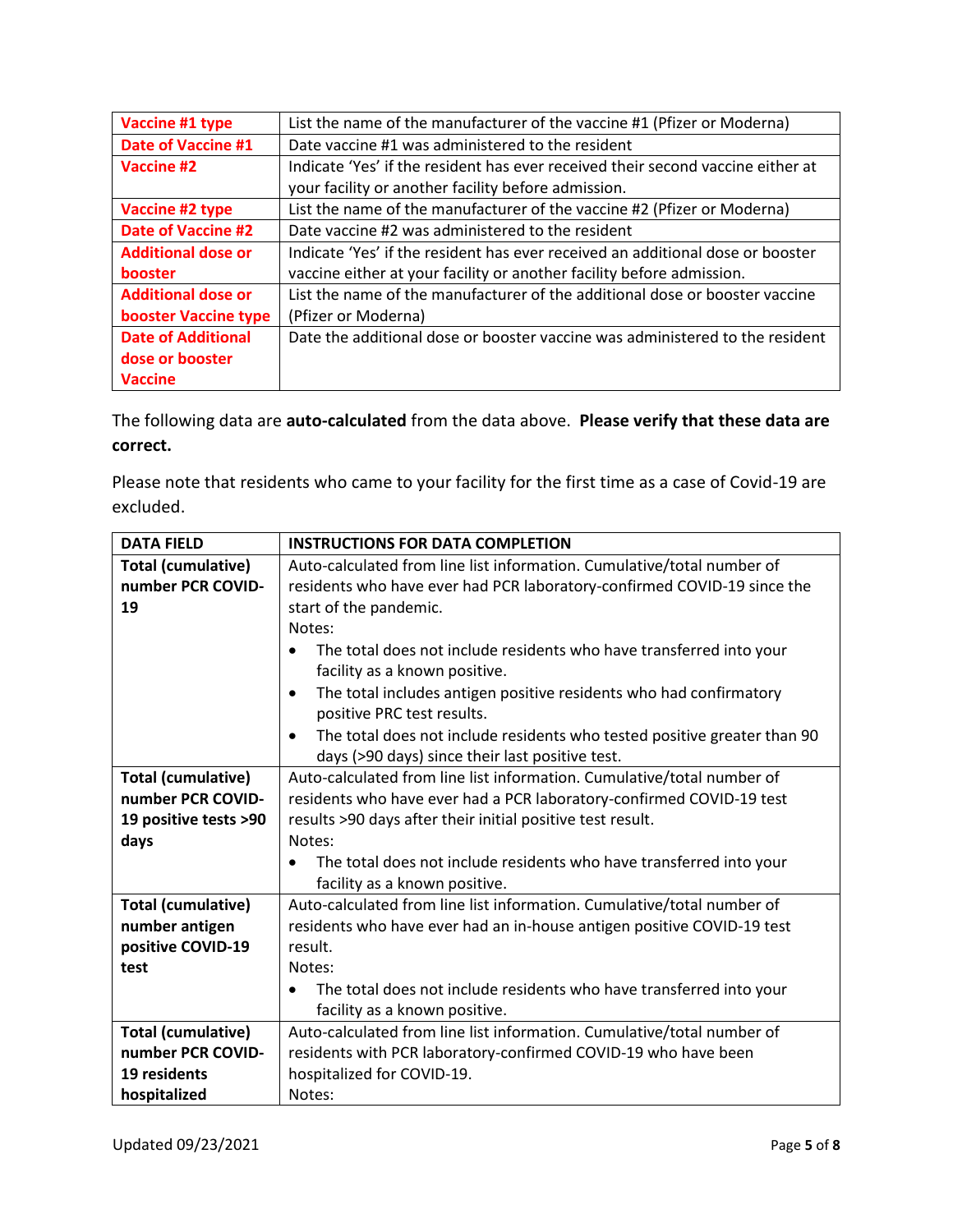| Vaccine #1 type           | List the name of the manufacturer of the vaccine #1 (Pfizer or Moderna)         |
|---------------------------|---------------------------------------------------------------------------------|
| Date of Vaccine #1        | Date vaccine #1 was administered to the resident                                |
| Vaccine #2                | Indicate 'Yes' if the resident has ever received their second vaccine either at |
|                           | your facility or another facility before admission.                             |
| Vaccine #2 type           | List the name of the manufacturer of the vaccine #2 (Pfizer or Moderna)         |
| <b>Date of Vaccine #2</b> | Date vaccine #2 was administered to the resident                                |
| <b>Additional dose or</b> | Indicate 'Yes' if the resident has ever received an additional dose or booster  |
| <b>booster</b>            | vaccine either at your facility or another facility before admission.           |
| <b>Additional dose or</b> | List the name of the manufacturer of the additional dose or booster vaccine     |
| booster Vaccine type      | (Pfizer or Moderna)                                                             |
| <b>Date of Additional</b> | Date the additional dose or booster vaccine was administered to the resident    |
| dose or booster           |                                                                                 |
| <b>Vaccine</b>            |                                                                                 |

The following data are **auto-calculated** from the data above. **Please verify that these data are correct.**

Please note that residents who came to your facility for the first time as a case of Covid-19 are excluded.

| <b>DATA FIELD</b>         | <b>INSTRUCTIONS FOR DATA COMPLETION</b>                                               |
|---------------------------|---------------------------------------------------------------------------------------|
| <b>Total (cumulative)</b> | Auto-calculated from line list information. Cumulative/total number of                |
| number PCR COVID-         | residents who have ever had PCR laboratory-confirmed COVID-19 since the               |
| 19                        | start of the pandemic.                                                                |
|                           | Notes:                                                                                |
|                           | The total does not include residents who have transferred into your<br>$\bullet$      |
|                           | facility as a known positive.                                                         |
|                           | The total includes antigen positive residents who had confirmatory<br>$\bullet$       |
|                           | positive PRC test results.                                                            |
|                           | The total does not include residents who tested positive greater than 90<br>$\bullet$ |
|                           | days (>90 days) since their last positive test.                                       |
| <b>Total (cumulative)</b> | Auto-calculated from line list information. Cumulative/total number of                |
| number PCR COVID-         | residents who have ever had a PCR laboratory-confirmed COVID-19 test                  |
| 19 positive tests >90     | results >90 days after their initial positive test result.                            |
| days                      | Notes:                                                                                |
|                           | The total does not include residents who have transferred into your                   |
|                           | facility as a known positive.                                                         |
| <b>Total (cumulative)</b> | Auto-calculated from line list information. Cumulative/total number of                |
| number antigen            | residents who have ever had an in-house antigen positive COVID-19 test                |
| positive COVID-19         | result.                                                                               |
| test                      | Notes:                                                                                |
|                           | The total does not include residents who have transferred into your                   |
|                           | facility as a known positive.                                                         |
| <b>Total (cumulative)</b> | Auto-calculated from line list information. Cumulative/total number of                |
| number PCR COVID-         | residents with PCR laboratory-confirmed COVID-19 who have been                        |
| 19 residents              | hospitalized for COVID-19.                                                            |
| hospitalized              | Notes:                                                                                |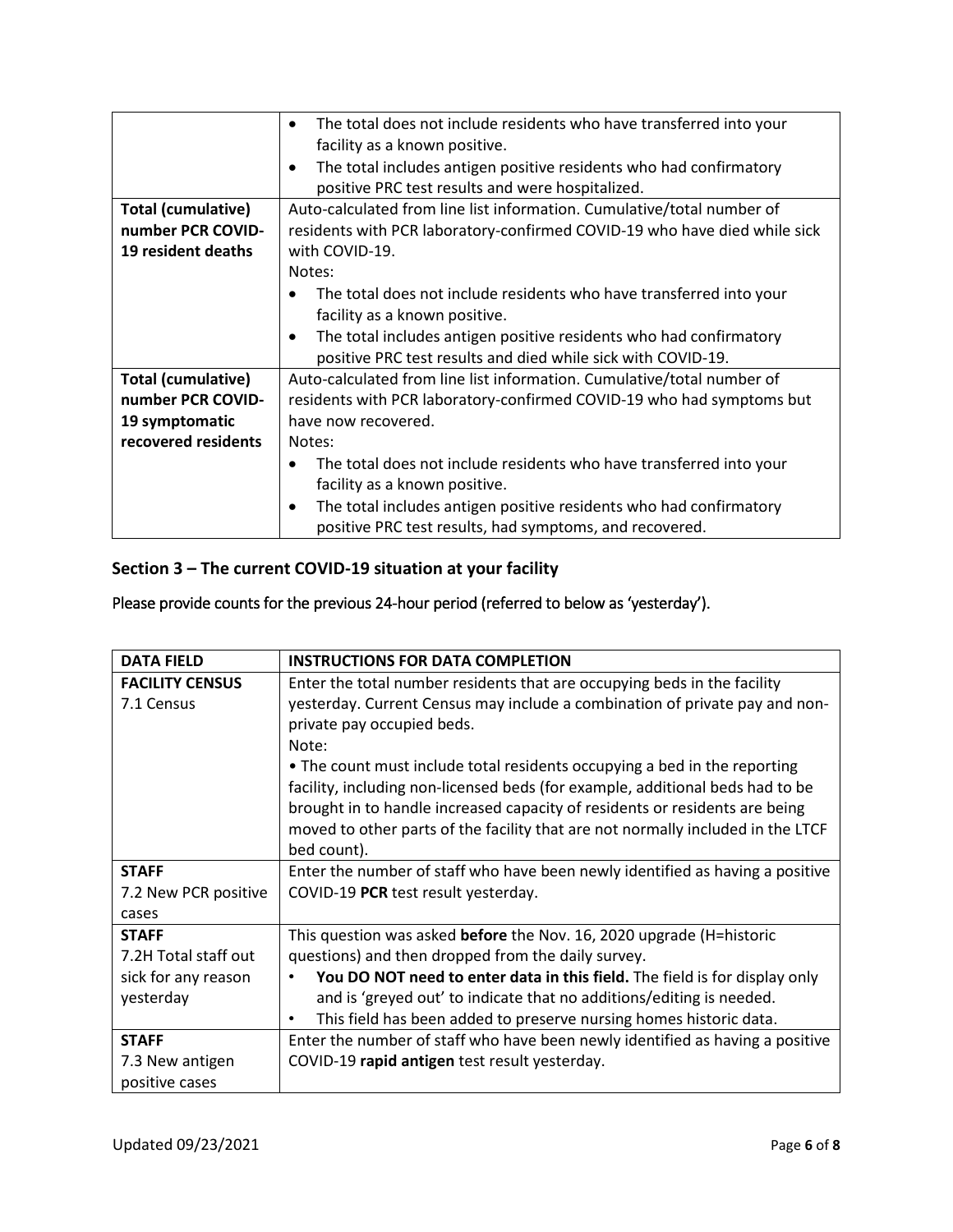|                           | The total does not include residents who have transferred into your<br>$\bullet$ |
|---------------------------|----------------------------------------------------------------------------------|
|                           | facility as a known positive.                                                    |
|                           | The total includes antigen positive residents who had confirmatory<br>$\bullet$  |
|                           | positive PRC test results and were hospitalized.                                 |
| <b>Total (cumulative)</b> | Auto-calculated from line list information. Cumulative/total number of           |
| number PCR COVID-         | residents with PCR laboratory-confirmed COVID-19 who have died while sick        |
| 19 resident deaths        | with COVID-19.                                                                   |
|                           | Notes:                                                                           |
|                           | The total does not include residents who have transferred into your              |
|                           | facility as a known positive.                                                    |
|                           | The total includes antigen positive residents who had confirmatory<br>$\bullet$  |
|                           | positive PRC test results and died while sick with COVID-19.                     |
| <b>Total (cumulative)</b> | Auto-calculated from line list information. Cumulative/total number of           |
| number PCR COVID-         | residents with PCR laboratory-confirmed COVID-19 who had symptoms but            |
| 19 symptomatic            | have now recovered.                                                              |
| recovered residents       | Notes:                                                                           |
|                           | The total does not include residents who have transferred into your<br>$\bullet$ |
|                           | facility as a known positive.                                                    |
|                           | The total includes antigen positive residents who had confirmatory<br>$\bullet$  |
|                           | positive PRC test results, had symptoms, and recovered.                          |

## **Section 3 – The current COVID-19 situation at your facility**

## Please provide counts for the previous 24-hour period (referred to below as 'yesterday').

| <b>DATA FIELD</b>      | <b>INSTRUCTIONS FOR DATA COMPLETION</b>                                         |
|------------------------|---------------------------------------------------------------------------------|
| <b>FACILITY CENSUS</b> | Enter the total number residents that are occupying beds in the facility        |
| 7.1 Census             | yesterday. Current Census may include a combination of private pay and non-     |
|                        | private pay occupied beds.                                                      |
|                        | Note:                                                                           |
|                        | • The count must include total residents occupying a bed in the reporting       |
|                        | facility, including non-licensed beds (for example, additional beds had to be   |
|                        | brought in to handle increased capacity of residents or residents are being     |
|                        | moved to other parts of the facility that are not normally included in the LTCF |
|                        | bed count).                                                                     |
| <b>STAFF</b>           | Enter the number of staff who have been newly identified as having a positive   |
| 7.2 New PCR positive   | COVID-19 PCR test result yesterday.                                             |
| cases                  |                                                                                 |
| <b>STAFF</b>           | This question was asked <b>before</b> the Nov. 16, 2020 upgrade (H=historic     |
| 7.2H Total staff out   | questions) and then dropped from the daily survey.                              |
| sick for any reason    | You DO NOT need to enter data in this field. The field is for display only      |
| yesterday              | and is 'greyed out' to indicate that no additions/editing is needed.            |
|                        | This field has been added to preserve nursing homes historic data.<br>$\bullet$ |
| <b>STAFF</b>           | Enter the number of staff who have been newly identified as having a positive   |
| 7.3 New antigen        | COVID-19 rapid antigen test result yesterday.                                   |
| positive cases         |                                                                                 |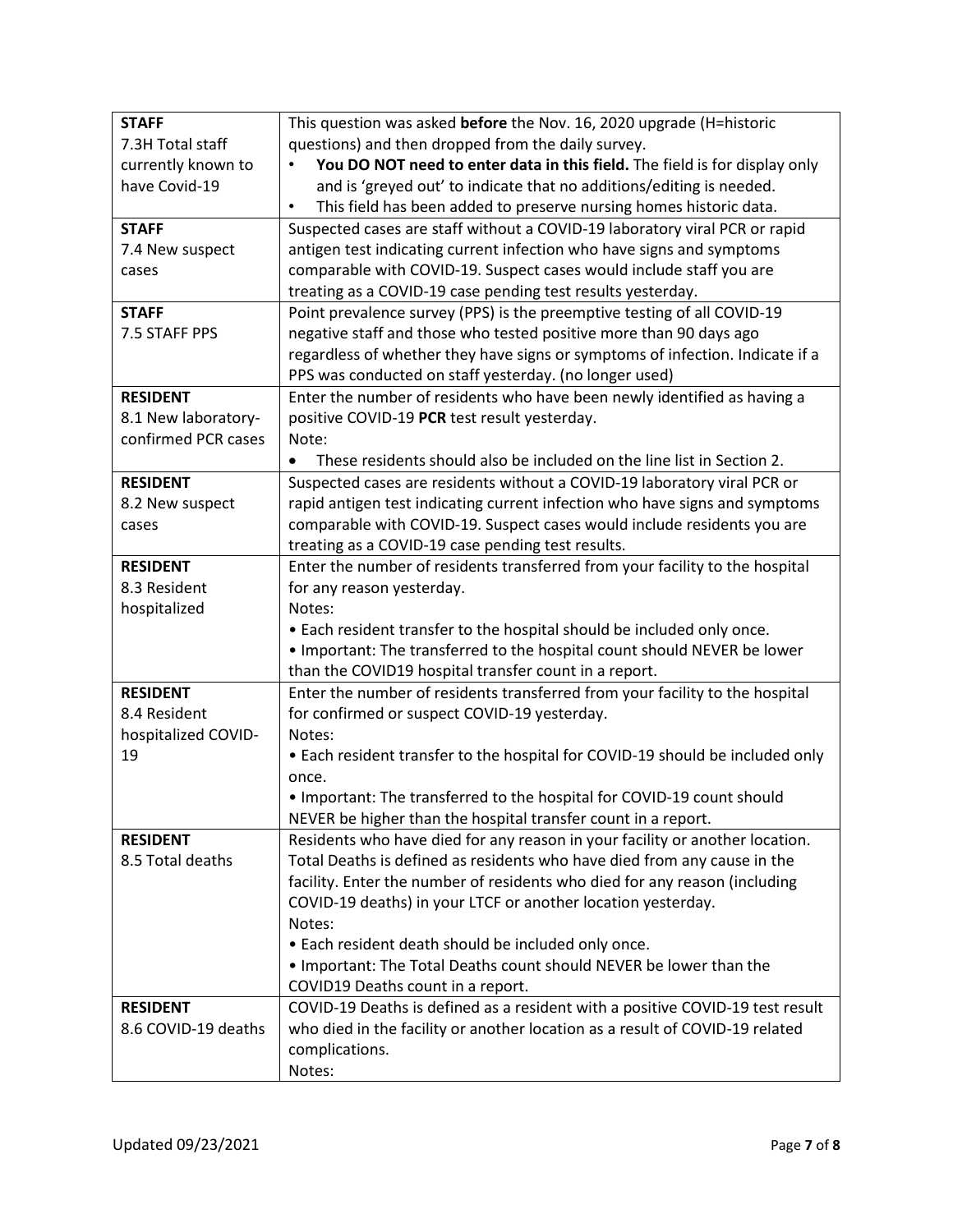| <b>STAFF</b>        | This question was asked before the Nov. 16, 2020 upgrade (H=historic                |
|---------------------|-------------------------------------------------------------------------------------|
| 7.3H Total staff    | questions) and then dropped from the daily survey.                                  |
| currently known to  | You DO NOT need to enter data in this field. The field is for display only          |
| have Covid-19       | and is 'greyed out' to indicate that no additions/editing is needed.                |
|                     | This field has been added to preserve nursing homes historic data.<br>$\bullet$     |
| <b>STAFF</b>        | Suspected cases are staff without a COVID-19 laboratory viral PCR or rapid          |
| 7.4 New suspect     | antigen test indicating current infection who have signs and symptoms               |
| cases               | comparable with COVID-19. Suspect cases would include staff you are                 |
|                     | treating as a COVID-19 case pending test results yesterday.                         |
| <b>STAFF</b>        | Point prevalence survey (PPS) is the preemptive testing of all COVID-19             |
| 7.5 STAFF PPS       | negative staff and those who tested positive more than 90 days ago                  |
|                     | regardless of whether they have signs or symptoms of infection. Indicate if a       |
|                     | PPS was conducted on staff yesterday. (no longer used)                              |
| <b>RESIDENT</b>     | Enter the number of residents who have been newly identified as having a            |
| 8.1 New laboratory- | positive COVID-19 PCR test result yesterday.                                        |
| confirmed PCR cases | Note:                                                                               |
|                     | These residents should also be included on the line list in Section 2.<br>$\bullet$ |
| <b>RESIDENT</b>     | Suspected cases are residents without a COVID-19 laboratory viral PCR or            |
| 8.2 New suspect     | rapid antigen test indicating current infection who have signs and symptoms         |
| cases               | comparable with COVID-19. Suspect cases would include residents you are             |
|                     | treating as a COVID-19 case pending test results.                                   |
| <b>RESIDENT</b>     | Enter the number of residents transferred from your facility to the hospital        |
| 8.3 Resident        | for any reason yesterday.                                                           |
| hospitalized        | Notes:                                                                              |
|                     | • Each resident transfer to the hospital should be included only once.              |
|                     | . Important: The transferred to the hospital count should NEVER be lower            |
|                     | than the COVID19 hospital transfer count in a report.                               |
| <b>RESIDENT</b>     | Enter the number of residents transferred from your facility to the hospital        |
| 8.4 Resident        | for confirmed or suspect COVID-19 yesterday.                                        |
| hospitalized COVID- | Notes:                                                                              |
| 19                  | • Each resident transfer to the hospital for COVID-19 should be included only       |
|                     | once.                                                                               |
|                     | . Important: The transferred to the hospital for COVID-19 count should              |
|                     | NEVER be higher than the hospital transfer count in a report.                       |
| <b>RESIDENT</b>     | Residents who have died for any reason in your facility or another location.        |
| 8.5 Total deaths    | Total Deaths is defined as residents who have died from any cause in the            |
|                     | facility. Enter the number of residents who died for any reason (including          |
|                     | COVID-19 deaths) in your LTCF or another location yesterday.                        |
|                     | Notes:                                                                              |
|                     | • Each resident death should be included only once.                                 |
|                     | . Important: The Total Deaths count should NEVER be lower than the                  |
|                     | COVID19 Deaths count in a report.                                                   |
| <b>RESIDENT</b>     | COVID-19 Deaths is defined as a resident with a positive COVID-19 test result       |
| 8.6 COVID-19 deaths | who died in the facility or another location as a result of COVID-19 related        |
|                     | complications.                                                                      |
|                     |                                                                                     |
|                     | Notes:                                                                              |